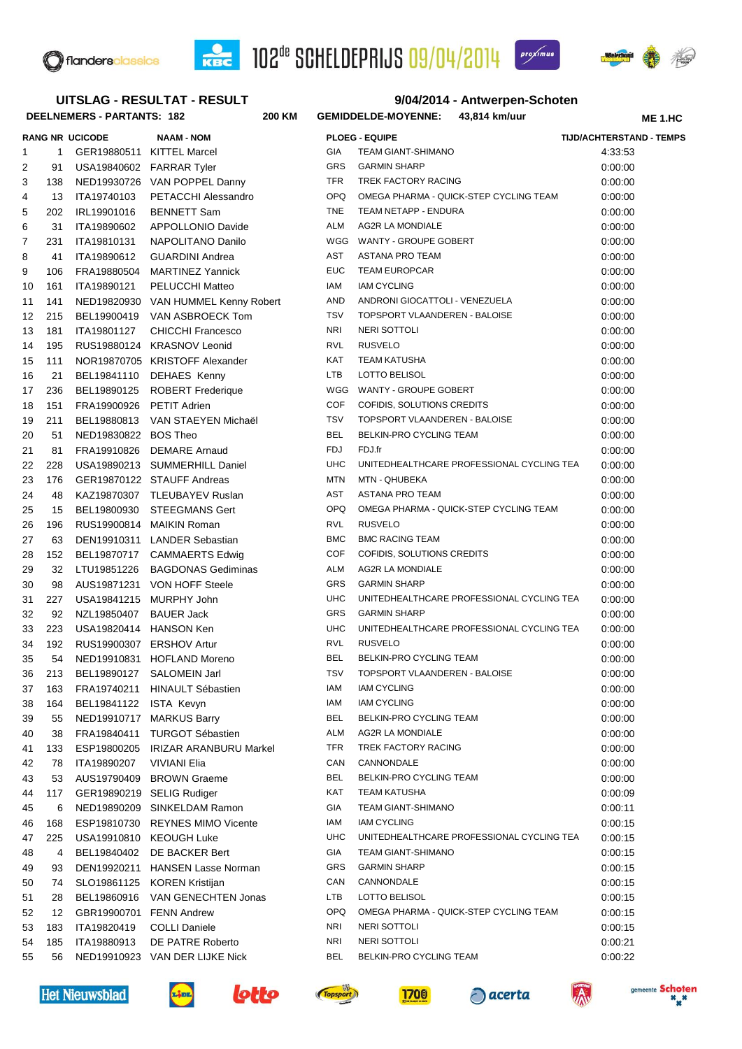





## **DEELNEMERS - PARTANTS: 182 200 9/04/2014 - Antwerpen-Schoten KM GEMIDDELDE-MOYENNE: 43,814 km/uur RANG NR UCICODE NAAM - NOM PLOEG - EQUIPE TIJD/ACHTERSTAND - TEMPS ME 1.HC UITSLAG - RESULTAT - RESULT** 1 1 GER19880511 KITTEL Marcel GIA TEAM GIANT-SHIMANO 4:33:53 2 91 USA19840602 FARRAR Tyler GRS GARMIN SHARP 6:00:00 00:00:00 3 138 NED19930726 VAN POPPEL Danny TFR TREK FACTORY RACING 0:00:00 4 13 ITA19740103 PETACCHI Alessandro OPQ OMEGA PHARMA - QUICK-STEP CYCLING TEAM 0:00:00 5 202 IRL19901016 BENNETT Sam TNE TEAM NETAPP - ENDURA 0:00:00 0:00:00 6 31 ITA19890602 APPOLLONIO Davide ALM AG2R LA MONDIALE **1996** 0:00:00 7 231 ITA19810131 NAPOLITANO Danilo WGG WANTY - GROUPE GOBERT 0:00:00 8 41 ITA19890612 GUARDINI Andrea AST ASTANA PRO TEAM 0:00:00 9 106 FRA19880504 MARTINEZ Yannick EUC TEAM EUROPCAR 0:00:00 10 161 ITA19890121 PELUCCHI Matteo IAM IAM CYCLING 0:00:00 11 141 NED19820930 VAN HUMMEL Kenny Robert AND ANDRONI GIOCATTOLI - VENEZUELA 0:00:00 12 215 BEL19900419 VAN ASBROECK Tom TSV TOPSPORT VLAANDEREN - BALOISE 0:00:00 13 181 ITA19801127 CHICCHI Francesco NRI NERI SOTTOLI 0:00:00 14 195 RUS19880124 KRASNOV Leonid **RVL RUSVELO** RUSVELO **0:00:00** 15 111 NOR19870705 KRISTOFF Alexander KAT TEAM KATUSHA 0:00:00 000:00 16 21 BEL19841110 DEHAES Kenny LTB LOTTO BELISOL 0:00:00 17 236 BEL19890125 ROBERT Frederique WGG WANTY - GROUPE GOBERT 0:00:00 18 151 FRA19900926 PETIT Adrien COF COFIDIS, SOLUTIONS CREDITS 0:00:00 19 211 BEL19880813 VAN STAEYEN Michaël TSV TOPSPORT VLAANDEREN - BALOISE 0:00:00 20 51 NED19830822 BOS Theo BEL BELKIN-PRO CYCLING TEAM 6:00:00 21 81 FRA19910826 DEMARE Arnaud FDJ FDJ.fr 0:00:00 22 228 USA19890213 SUMMERHILL Daniel UHC UNITEDHEALTHCARE PROFESSIONAL CYCLING TEA 0:00:00 23 176 GER19870122 STAUFF Andreas MTN MTN AHUBEKA 0:00:00 00:00:00 24 48 KAZ19870307 TLEUBAYEV Ruslan AST ASTANA PRO TEAM 0:00:00 25 15 BEL19800930 STEEGMANS Gert OPQ OMEGA PHARMA - QUICK-STEP CYCLING TEAM 0:00:00 26 196 RUS19900814 MAIKIN Roman RVL RUSVELO 0:00:00 27 63 DEN19910311 LANDER Sebastian BMC BMC RACING TEAM 20100100 0:00:00 28 152 BEL19870717 CAMMAERTS Edwig COF COFIDIS, SOLUTIONS CREDITS 0:00:00 29 32 LTU19851226 BAGDONAS Gediminas ALM AG2R LA MONDIALE 0:00:00 00:00:00 30 98 AUS19871231 VON HOFF Steele GRS GARMIN SHARP CHARD 10:00:00 31 227 USA19841215 MURPHY John UHC UNITEDHEALTHCARE PROFESSIONAL CYCLING TEA 0:00:00 32 92 NZL19850407 BAUER Jack GRS GARMIN SHARP COO:00 00:00:00 33 223 USA19820414 HANSON Ken UHC UNITEDHEALTHCARE PROFESSIONAL CYCLING TEA 0:00:00 34 192 RUS19900307 ERSHOV Artur RVL RUSVELO 0:00:00 35 54 NED19910831 HOFLAND Moreno BEL BELKIN-PRO CYCLING TEAM 0:00:00 36 213 BEL19890127 SALOMEIN Jarl TSV TOPSPORT VLAANDEREN - BALOISE 0:00:00 37 163 FRA19740211 HINAULT Sébastien **IAM IAM IAM CYCLING** COO:00 00:00:00 38 164 BEL19841122 ISTA Kevyn IAM IAM CYCLING 0:00:00 39 55 NED19910717 MARKUS Barry BEL BELKIN-PRO CYCLING TEAM 0:00:00 40 38 FRA19840411 TURGOT Sébastien ALM AG2R LA MONDIALE **1996 10:00:00** 0:00:00 41 133 ESP19800205 IRIZAR ARANBURU Markel TFR TREK FACTORY RACING 0:00:00 42 78 ITA19890207 VIVIANI Elia CAN CANNONDALE 0:00:00 43 53 AUS19790409 BROWN Graeme BEL BELKIN-PRO CYCLING TEAM 0:00:00 44 117 GER19890219 SELIG Rudiger KAT TEAM KATUSHA 6:00:09 KAT TEAM KATUSHA 45 6 NED19890209 SINKELDAM Ramon GIA TEAM GIANT-SHIMANO 6:00:11 46 168 ESP19810730 REYNES MIMO Vicente IAM IAM CYCLING 0:00:15 47 225 USA19910810 KEOUGH Luke UHC UNITEDHEALTHCARE PROFESSIONAL CYCLING TEA 0:00:15 48 4 BEL19840402 DE BACKER Bert GIA TEAM GIANT-SHIMANO 6:00:15 49 93 DEN19920211 HANSEN Lasse Norman GRS GARMIN SHARP 6:00:15 50 74 SLO19861125 KOREN Kristijan CAN CANNONDALE 0:00:15 51 28 BEL19860916 VAN GENECHTEN Jonas LTB LOTTO BELISOL 0:00:15 52 12 GBR19900701 FENN Andrew OPQ OMEGA PHARMA - QUICK-STEP CYCLING TEAM 0:00:15 53 183 ITA19820419 COLLI Daniele NRI NERI SOTTOLI 0:00:15 54 185 ITA19880913 DE PATRE Roberto NRI NERI SOTTOLI 0:00:21 55 56 NED19910923 VAN DER LIJKE Nick BEL BELKIN-PRO CYCLING TEAM 0:00:22

**Het Nieuwsblad** 











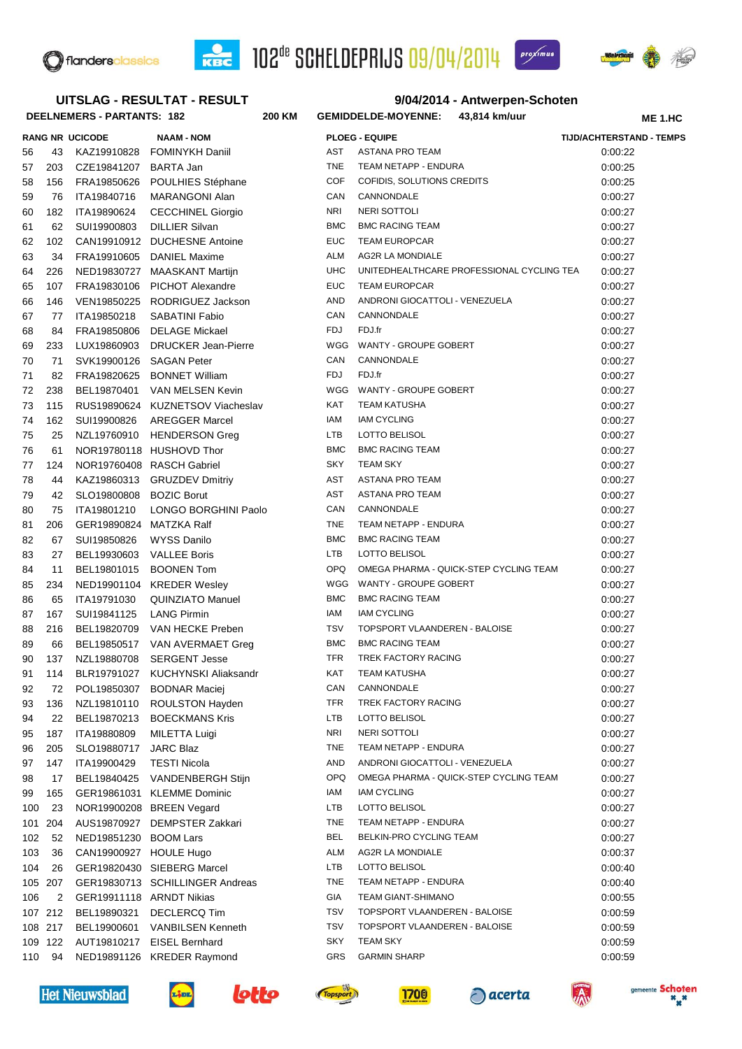





**ME 1.HC**

## **UITSLAG - RESULTAT - RESULT**

# **DEELNEMERS - PARTANTS: 182 200**

#### **9/04/2014 - Antwerpen-Schoten KM GEMIDDELDE-MOYENNE: 43,814 km/uur**

**RANG NR UCICODE NAAM - NOM PLOEG - EQUIPE TIJD/ACHTERSTAND - TEMPS** 56 43 KAZ19910828 FOMINYKH Daniil AST ASTANA PRO TEAM 0:00:22 57 203 CZE19841207 BARTA Jan TNE TEAM NETAPP - ENDURA 0:00:25 58 156 FRA19850626 POULHIES Stéphane COF COFIDIS, SOLUTIONS CREDITS 0:00:25 59 76 ITA19840716 MARANGONI Alan CAN CANNONDALE 0:00:27 60 182 ITA19890624 CECCHINEL Giorgio NRI NERI SOTTOLI 0:00:27 61 62 SUI19900803 DILLIER Silvan BMC BMC BMC RACING TEAM 62 SUI19900803 DILLIER Silvan 62 102 CAN19910912 DUCHESNE Antoine EUC TEAM EUROPCAR 0:00:27 63 34 FRA19910605 DANIEL Maxime ALM AG2R LA MONDIALE 0:00:27 64 226 NED19830727 MAASKANT Martijn UHC UNITEDHEALTHCARE PROFESSIONAL CYCLING TEA 0:00:27 65 107 FRA19830106 PICHOT Alexandre EUC TEAM EUROPCAR 0:00:27 66 146 VEN19850225 RODRIGUEZ Jackson AND ANDRONI GIOCATTOLI - VENEZUELA 0:00:27 67 77 ITA19850218 SABATINI Fabio CAN CANNONDALE 0:00:27 68 84 FRA19850806 DELAGE Mickael FDJ FDJ.fr 0:00:27 69 233 LUX19860903 DRUCKER Jean-Pierre WGG WANTY - GROUPE GOBERT 0:00:27 70 71 SVK19900126 SAGAN Peter CAN CANNONDALE 0:00:27 71 82 FRA19820625 BONNET William FDJ FDJ.fr 0:00:27 72 238 BEL19870401 VAN MELSEN Kevin WGG WANTY - GROUPE GOBERT 0:00:27 73 115 RUS19890624 KUZNETSOV Viacheslav KAT TEAM KATUSHA 115 NOO127 0:00:27 74 162 SUI19900826 AREGGER Marcel IAM IAM CYCLING 0:00:27 75 25 NZL19760910 HENDERSON Greg LTB LOTTO BELISOL 0:00:27 76 61 NOR19780118 HUSHOVD Thor BMC BMC RACING TEAM 0:00:27 77 124 NOR19760408 RASCH Gabriel SKY TEAM SKY SKY STEAM SKY SKY O:00:27 78 44 KAZ19860313 GRUZDEV Dmitriy AST ASTANA PRO TEAM 0:00:27 79 42 SLO19800808 BOZIC Borut AST AST ASTANA PRO TEAM AST ASTANA PRO TEAM 0:00:27 80 75 ITA19801210 LONGO BORGHINI Paolo CAN CANNONDALE COM COMBET COMES COOSET 81 206 GER19890824 MATZKA Ralf **THE TEAM NETAPP - ENDURA** 0:00:27 82 67 SUI19850826 WYSS Danilo BMC BMC BMC RACING TEAM 6:00:27 83 27 BEL19930603 VALLEE Boris LTB LOTTO BELISOL NEED ALTB 20:00:27 84 11 BEL19801015 BOONEN Tom OPQ OMEGA PHARMA - QUICK-STEP CYCLING TEAM 0:00:27 85 234 NED19901104 KREDER Wesley WGG WANTY - GROUPE GOBERT 0:00:27 86 65 ITA19791030 QUINZIATO Manuel BMC BMC RACING TEAM 6:00:27 87 167 SUI19841125 LANG Pirmin **IAM IAM IAM CYCLING IAM IAM CYCLING 167 SUILBEAM IAM CYCLING** 88 216 BEL19820709 VAN HECKE Preben TSV TOPSPORT VLAANDEREN - BALOISE 0:00:27 89 66 BEL19850517 VAN AVERMAET Greg BMC BMC RACING TEAM 6:00:27 90 137 NZL19880708 SERGENT Jesse TFR TREK FACTORY RACING 0:00:27 91 114 BLR19791027 KUCHYNSKI Aliaksandr KAT TEAM KATUSHA 0:00:27 92 72 POL19850307 BODNAR Maciej CAN CANNONDALE CON COO:27 93 136 NZL19810110 ROULSTON Hayden TFR TREK FACTORY RACING NOTED TRACING 0:00:27 94 22 BEL19870213 BOECKMANS Kris LTB LOTTO BELISOL 0:00:27 95 187 ITA19880809 MILETTA Luigi NRI NERI SOTTOLI 0:00:27 96 205 SLO19880717 JARC Blaz TNE TEAM NETAPP - ENDURA 0:00:27 97 147 ITA19900429 TESTI Nicola **AND ANDRONI GIOCATTOLI - VENEZUELA** 0:00:27 98 17 BEL19840425 VANDENBERGH Stijn OPQ OMEGA PHARMA - QUICK-STEP CYCLING TEAM 0:00:27 99 165 GER19861031 KLEMME Dominic **IAM IAM IAM CYCLING IAM IAM CYCLING** 0:00:27 100 23 NOR19900208 BREEN Vegard LTB LOTTO BELISOL 0:00:27 101 204 AUS19870927 DEMPSTER Zakkari TNE TEAM NETAPP - ENDURA 0:00:27 102 52 NED19851230 BOOM Lars BEL BELKIN-PRO CYCLING TEAM 6:00:27 103 36 CAN19900927 HOULE Hugo ALM AG2R LA MONDIALE 0:00:37 0:00:37 104 26 GER19820430 SIEBERG Marcel LTB LOTTO BELISOL 0:00:40 105 207 GER19830713 SCHILLINGER Andreas TNE TEAM NETAPP - ENDURA 0:00:40 106 2 GER19911118 ARNDT Nikias GIA TEAM GIANT-SHIMANO 0:00:55 107 212 BEL19890321 DECLERCQ Tim TSV TOPSPORT VLAANDEREN - BALOISE 0:00:59 108 217 BEL19900601 VANBILSEN Kenneth TSV TOPSPORT VLAANDEREN - BALOISE 0:00:59 109 122 AUT19810217 EISEL Bernhard SKY TEAM SKY SKY STEAM SKY SKY O:00:59 110 94 NED19891126 KREDER Raymond GRS GARMIN SHARP 6:00:59













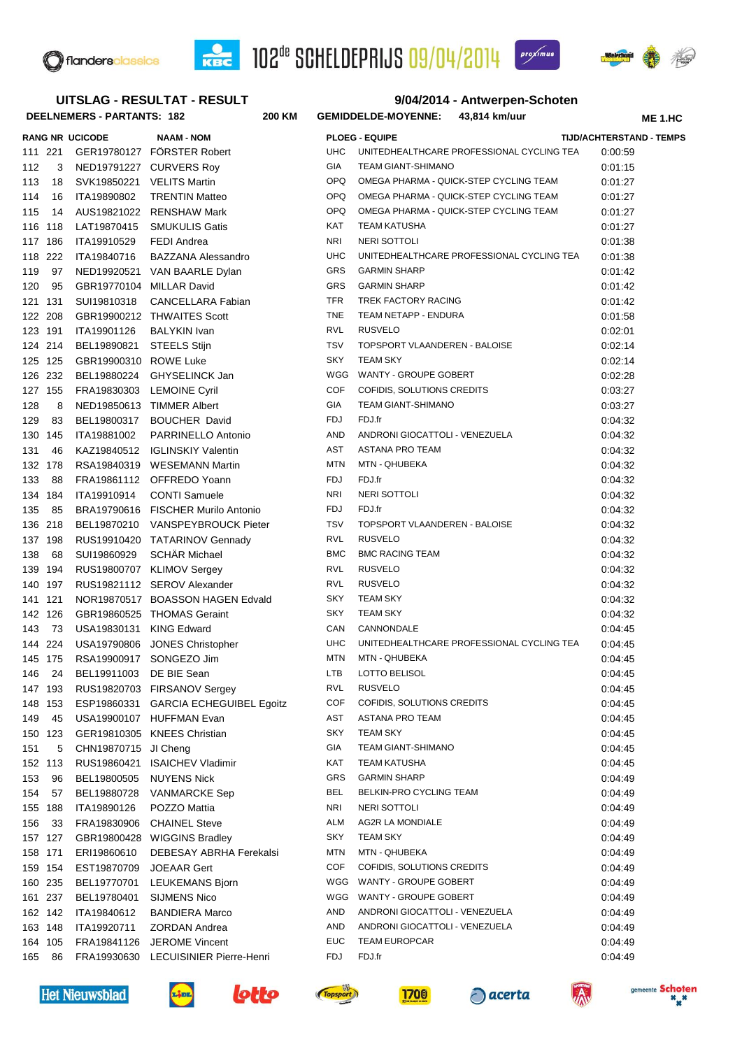



**SCHELDEPRIJS** 09/04/2014

**9/04/2014 - Antwerpen-Schoten**

proximus



# **UITSLAG - RESULTAT - RESULT**

| DEELNEMERS - PARTANTS: 182 |      |                           | 200 KM                                                |                          | GEMIDDELDE-MOYENNE: 43,814 km/uur               | <b>ME 1.HC</b>                  |  |
|----------------------------|------|---------------------------|-------------------------------------------------------|--------------------------|-------------------------------------------------|---------------------------------|--|
|                            |      | <b>RANG NR UCICODE</b>    | <b>NAAM - NOM</b>                                     |                          | <b>PLOEG - EQUIPE</b>                           | <b>TIJD/ACHTERSTAND - TEMPS</b> |  |
| 111 221                    |      |                           | GER19780127 FÖRSTER Robert                            | UHC                      | UNITEDHEALTHCARE PROFESSIONAL CYCLING TEA       | 0:00:59                         |  |
| 112                        |      |                           | 3 NED19791227 CURVERS Roy                             | GIA                      | TEAM GIANT-SHIMANO                              | 0:01:15                         |  |
| 113                        | 18   | SVK19850221 VELITS Martin |                                                       | <b>OPQ</b>               | OMEGA PHARMA - QUICK-STEP CYCLING TEAM          | 0:01:27                         |  |
| 114                        | 16   | ITA19890802               | <b>TRENTIN Matteo</b>                                 | <b>OPQ</b>               | OMEGA PHARMA - QUICK-STEP CYCLING TEAM          | 0:01:27                         |  |
| 115                        | 14   |                           | AUS19821022 RENSHAW Mark                              | <b>OPQ</b>               | OMEGA PHARMA - QUICK-STEP CYCLING TEAM          | 0:01:27                         |  |
| 116 118                    |      | LAT19870415               | <b>SMUKULIS Gatis</b>                                 | KAT                      | TEAM KATUSHA                                    | 0:01:27                         |  |
| 117 186                    |      | ITA19910529               | <b>FEDI Andrea</b>                                    | <b>NRI</b>               | NERI SOTTOLI                                    | 0:01:38                         |  |
| 118 222                    |      | ITA19840716               | <b>BAZZANA Alessandro</b>                             | <b>UHC</b>               | UNITEDHEALTHCARE PROFESSIONAL CYCLING TEA       | 0:01:38                         |  |
| 119                        | - 97 |                           | NED19920521 VAN BAARLE Dylan                          | <b>GRS</b>               | <b>GARMIN SHARP</b>                             | 0:01:42                         |  |
| 120                        | 95   | GBR19770104 MILLAR David  |                                                       | <b>GRS</b>               | <b>GARMIN SHARP</b>                             | 0:01:42                         |  |
| 121 131                    |      | SUI19810318               | CANCELLARA Fabian                                     | <b>TFR</b>               | TREK FACTORY RACING                             | 0:01:42                         |  |
| 122 208                    |      |                           | GBR19900212 THWAITES Scott                            | <b>TNE</b>               | TEAM NETAPP - ENDURA                            | 0:01:58                         |  |
| 123 191                    |      | ITA19901126               | <b>BALYKIN Ivan</b>                                   | <b>RVL</b>               | <b>RUSVELO</b>                                  | 0:02:01                         |  |
| 124 214                    |      | BEL19890821               | <b>STEELS Stijn</b>                                   | <b>TSV</b>               | TOPSPORT VLAANDEREN - BALOISE                   | 0:02:14                         |  |
| 125 125                    |      | GBR19900310 ROWE Luke     |                                                       | <b>SKY</b>               | <b>TEAM SKY</b>                                 | 0:02:14                         |  |
| 126 232                    |      |                           | BEL19880224 GHYSELINCK Jan                            | WGG                      | WANTY - GROUPE GOBERT                           | 0:02:28                         |  |
| 127 155                    |      |                           | FRA19830303 LEMOINE Cyril                             | <b>COF</b>               | COFIDIS, SOLUTIONS CREDITS                      | 0:03:27                         |  |
| 128                        | 8    |                           | NED19850613 TIMMER Albert                             | GIA                      | TEAM GIANT-SHIMANO                              | 0:03:27                         |  |
| 129                        | 83   | BEL19800317               | <b>BOUCHER David</b>                                  | <b>FDJ</b>               | FDJ.fr                                          | 0:04:32                         |  |
| 130 145                    |      | ITA19881002               | PARRINELLO Antonio                                    | AND                      | ANDRONI GIOCATTOLI - VENEZUELA                  | 0:04:32                         |  |
| 131                        | 46   |                           | KAZ19840512 IGLINSKIY Valentin                        | AST                      | ASTANA PRO TEAM                                 | 0:04:32                         |  |
| 132 178                    |      |                           | RSA19840319 WESEMANN Martin                           | <b>MTN</b>               | MTN - QHUBEKA                                   | 0:04:32                         |  |
| 133                        | - 88 |                           | FRA19861112 OFFREDO Yoann                             | <b>FDJ</b>               | FDJ.fr                                          | 0:04:32                         |  |
| 134 184                    |      | ITA19910914               | <b>CONTI Samuele</b>                                  | <b>NRI</b><br><b>FDJ</b> | NERI SOTTOLI                                    | 0:04:32                         |  |
| 135 85                     |      |                           | BRA19790616 FISCHER Murilo Antonio                    | <b>TSV</b>               | FDJ.fr                                          | 0:04:32                         |  |
| 136 218                    |      |                           | BEL19870210 VANSPEYBROUCK Pieter                      | <b>RVL</b>               | TOPSPORT VLAANDEREN - BALOISE<br><b>RUSVELO</b> | 0:04:32                         |  |
| 137 198<br>138             | - 68 | SUI19860929               | RUS19910420 TATARINOV Gennady<br><b>SCHÄR Michael</b> | <b>BMC</b>               | <b>BMC RACING TEAM</b>                          | 0:04:32                         |  |
| 139 194                    |      |                           | RUS19800707 KLIMOV Sergey                             | <b>RVL</b>               | <b>RUSVELO</b>                                  | 0:04:32<br>0:04:32              |  |
| 140 197                    |      |                           | RUS19821112 SEROV Alexander                           | RVL                      | <b>RUSVELO</b>                                  | 0:04:32                         |  |
| 141 121                    |      |                           | NOR19870517 BOASSON HAGEN Edvald                      | SKY                      | <b>TEAM SKY</b>                                 | 0:04:32                         |  |
| 142 126                    |      |                           | GBR19860525 THOMAS Geraint                            | <b>SKY</b>               | <b>TEAM SKY</b>                                 | 0:04:32                         |  |
| 143 73                     |      | USA19830131 KING Edward   |                                                       | CAN                      | CANNONDALE                                      | 0:04:45                         |  |
| 144 224                    |      |                           | USA19790806 JONES Christopher                         | <b>UHC</b>               | UNITEDHEALTHCARE PROFESSIONAL CYCLING TEA       | 0:04:45                         |  |
| 145 175                    |      | RSA19900917 SONGEZO Jim   |                                                       | MTN                      | <b>MTN - QHUBEKA</b>                            | 0:04:45                         |  |
| 146                        | 24   | BEL19911003               | DE BIE Sean                                           | LTB                      | LOTTO BELISOL                                   | 0:04:45                         |  |
| 147 193                    |      |                           | RUS19820703 FIRSANOV Sergey                           | RVL                      | <b>RUSVELO</b>                                  | 0:04:45                         |  |
| 148 153                    |      | ESP19860331               | <b>GARCIA ECHEGUIBEL Egoitz</b>                       | <b>COF</b>               | COFIDIS, SOLUTIONS CREDITS                      | 0:04:45                         |  |
| 149                        | 45   |                           | USA19900107 HUFFMAN Evan                              | AST                      | ASTANA PRO TEAM                                 | 0:04:45                         |  |
| 150 123                    |      |                           | GER19810305 KNEES Christian                           | SKY                      | <b>TEAM SKY</b>                                 | 0:04:45                         |  |
| 151                        | 5    | CHN19870715 JI Cheng      |                                                       | GIA                      | <b>TEAM GIANT-SHIMANO</b>                       | 0:04:45                         |  |
| 152 113                    |      | RUS19860421               | <b>ISAICHEV Vladimir</b>                              | KAT                      | <b>TEAM KATUSHA</b>                             | 0:04:45                         |  |
| 153                        | 96   | BEL19800505               | <b>NUYENS Nick</b>                                    | GRS                      | <b>GARMIN SHARP</b>                             | 0:04:49                         |  |
| 154                        | 57   | BEL19880728               | <b>VANMARCKE Sep</b>                                  | BEL                      | BELKIN-PRO CYCLING TEAM                         | 0:04:49                         |  |
| 155 188                    |      | ITA19890126               | POZZO Mattia                                          | <b>NRI</b>               | NERI SOTTOLI                                    | 0:04:49                         |  |
| 156                        | 33   | FRA19830906               | <b>CHAINEL Steve</b>                                  | <b>ALM</b>               | <b>AG2R LA MONDIALE</b>                         | 0:04:49                         |  |
| 157 127                    |      | GBR19800428               | <b>WIGGINS Bradley</b>                                | SKY                      | <b>TEAM SKY</b>                                 | 0:04:49                         |  |
| 158 171                    |      | ERI19860610               | DEBESAY ABRHA Ferekalsi                               | <b>MTN</b>               | <b>MTN - QHUBEKA</b>                            | 0:04:49                         |  |
| 159 154                    |      | EST19870709               | <b>JOEAAR Gert</b>                                    | COF                      | COFIDIS, SOLUTIONS CREDITS                      | 0:04:49                         |  |
| 160 235                    |      | BEL19770701               | LEUKEMANS Bjorn                                       | WGG                      | WANTY - GROUPE GOBERT                           | 0:04:49                         |  |
| 161 237                    |      | BEL19780401               | <b>SIJMENS Nico</b>                                   | WGG                      | WANTY - GROUPE GOBERT                           | 0:04:49                         |  |
| 162 142                    |      | ITA19840612               | <b>BANDIERA Marco</b>                                 | <b>AND</b>               | ANDRONI GIOCATTOLI - VENEZUELA                  | 0:04:49                         |  |
| 163 148                    |      | ITA19920711               | <b>ZORDAN Andrea</b>                                  | <b>AND</b>               | ANDRONI GIOCATTOLI - VENEZUELA                  | 0:04:49                         |  |
| 164 105                    |      | FRA19841126               | <b>JEROME Vincent</b>                                 | <b>EUC</b>               | <b>TEAM EUROPCAR</b>                            | 0:04:49                         |  |
| 165                        | 86   | FRA19930630               | <b>LECUISINIER Pierre-Henri</b>                       | FDJ                      | FDJ.fr                                          | 0:04:49                         |  |
|                            |      |                           |                                                       |                          |                                                 |                                 |  |

**Het Nieuwsblad** 



**Link**